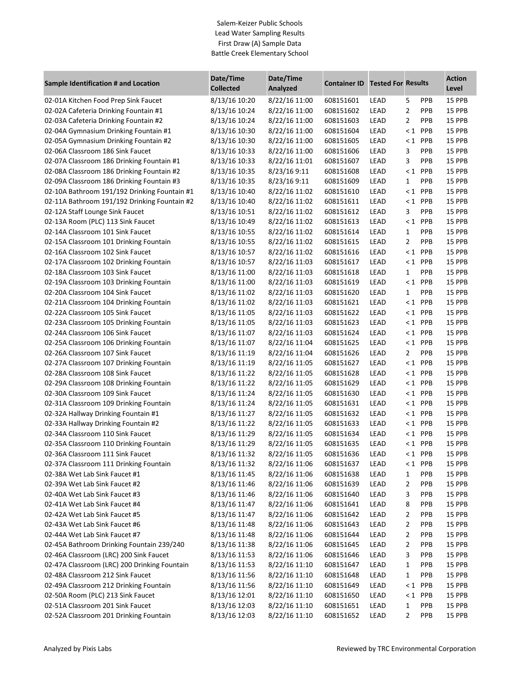## Salem-Keizer Public Schools Lead Water Sampling Results First Draw (A) Sample Data Battle Creek Elementary School

| <b>Sample Identification # and Location</b>  | Date/Time<br><b>Collected</b> | Date/Time<br>Analyzed | <b>Container ID</b> | <b>Tested For Results</b> |                |            | <b>Action</b><br>Level |
|----------------------------------------------|-------------------------------|-----------------------|---------------------|---------------------------|----------------|------------|------------------------|
| 02-01A Kitchen Food Prep Sink Faucet         | 8/13/16 10:20                 | 8/22/16 11:00         | 608151601           | LEAD                      | 5              | <b>PPB</b> | 15 PPB                 |
| 02-02A Cafeteria Drinking Fountain #1        | 8/13/16 10:24                 | 8/22/16 11:00         | 608151602           | LEAD                      | $\overline{2}$ | PPB        | 15 PPB                 |
| 02-03A Cafeteria Drinking Fountain #2        | 8/13/16 10:24                 | 8/22/16 11:00         | 608151603           | LEAD                      | $\overline{2}$ | PPB        | 15 PPB                 |
| 02-04A Gymnasium Drinking Fountain #1        | 8/13/16 10:30                 | 8/22/16 11:00         | 608151604           | LEAD                      | $< 1$ PPB      |            | 15 PPB                 |
| 02-05A Gymnasium Drinking Fountain #2        | 8/13/16 10:30                 | 8/22/16 11:00         | 608151605           | LEAD                      | $\leq 1$       | PPB        | 15 PPB                 |
| 02-06A Classroom 186 Sink Faucet             | 8/13/16 10:33                 | 8/22/16 11:00         | 608151606           | LEAD                      | 3              | PPB        | 15 PPB                 |
| 02-07A Classroom 186 Drinking Fountain #1    | 8/13/16 10:33                 | 8/22/16 11:01         | 608151607           | LEAD                      | 3              | <b>PPB</b> | 15 PPB                 |
| 02-08A Classroom 186 Drinking Fountain #2    | 8/13/16 10:35                 | 8/23/16 9:11          | 608151608           | LEAD                      | $\leq 1$       | PPB        | 15 PPB                 |
| 02-09A Classroom 186 Drinking Fountain #3    | 8/13/16 10:35                 | 8/23/16 9:11          | 608151609           | LEAD                      | 1              | PPB        | 15 PPB                 |
| 02-10A Bathroom 191/192 Drinking Fountain #1 | 8/13/16 10:40                 | 8/22/16 11:02         | 608151610           | LEAD                      | $\leq 1$       | PPB        | 15 PPB                 |
| 02-11A Bathroom 191/192 Drinking Fountain #2 | 8/13/16 10:40                 | 8/22/16 11:02         | 608151611           | LEAD                      | $\leq 1$       | PPB        | 15 PPB                 |
| 02-12A Staff Lounge Sink Faucet              | 8/13/16 10:51                 | 8/22/16 11:02         | 608151612           | LEAD                      | 3              | PPB        | 15 PPB                 |
| 02-13A Room (PLC) 113 Sink Faucet            | 8/13/16 10:49                 | 8/22/16 11:02         | 608151613           | LEAD                      | $\leq 1$       | PPB        | 15 PPB                 |
| 02-14A Classroom 101 Sink Faucet             | 8/13/16 10:55                 | 8/22/16 11:02         | 608151614           | LEAD                      | 1              | PPB        | 15 PPB                 |
| 02-15A Classroom 101 Drinking Fountain       | 8/13/16 10:55                 | 8/22/16 11:02         | 608151615           | LEAD                      | 2              | PPB        | 15 PPB                 |
| 02-16A Classroom 102 Sink Faucet             | 8/13/16 10:57                 | 8/22/16 11:02         | 608151616           | LEAD                      | $< 1$ PPB      |            | 15 PPB                 |
| 02-17A Classroom 102 Drinking Fountain       | 8/13/16 10:57                 | 8/22/16 11:03         | 608151617           | LEAD                      | $< 1$ PPB      |            | 15 PPB                 |
| 02-18A Classroom 103 Sink Faucet             | 8/13/16 11:00                 | 8/22/16 11:03         | 608151618           | LEAD                      | 1              | <b>PPB</b> | 15 PPB                 |
| 02-19A Classroom 103 Drinking Fountain       | 8/13/16 11:00                 | 8/22/16 11:03         | 608151619           | LEAD                      | $< 1$ PPB      |            | 15 PPB                 |
| 02-20A Classroom 104 Sink Faucet             | 8/13/16 11:02                 | 8/22/16 11:03         | 608151620           | LEAD                      | 1              | PPB        | 15 PPB                 |
| 02-21A Classroom 104 Drinking Fountain       | 8/13/16 11:02                 | 8/22/16 11:03         | 608151621           | LEAD                      | $< 1$ PPB      |            | 15 PPB                 |
| 02-22A Classroom 105 Sink Faucet             | 8/13/16 11:05                 | 8/22/16 11:03         | 608151622           | LEAD                      | $< 1$ PPB      |            | 15 PPB                 |
| 02-23A Classroom 105 Drinking Fountain       | 8/13/16 11:05                 | 8/22/16 11:03         | 608151623           | LEAD                      | $< 1$ PPB      |            | 15 PPB                 |
| 02-24A Classroom 106 Sink Faucet             | 8/13/16 11:07                 | 8/22/16 11:03         | 608151624           | LEAD                      | $< 1$ PPB      |            | 15 PPB                 |
| 02-25A Classroom 106 Drinking Fountain       | 8/13/16 11:07                 | 8/22/16 11:04         | 608151625           | LEAD                      | $< 1$ PPB      |            | 15 PPB                 |
| 02-26A Classroom 107 Sink Faucet             | 8/13/16 11:19                 | 8/22/16 11:04         | 608151626           | LEAD                      | $\overline{2}$ | <b>PPB</b> | 15 PPB                 |
| 02-27A Classroom 107 Drinking Fountain       | 8/13/16 11:19                 | 8/22/16 11:05         | 608151627           | LEAD                      | $< 1$ PPB      |            | 15 PPB                 |
| 02-28A Classroom 108 Sink Faucet             | 8/13/16 11:22                 | 8/22/16 11:05         | 608151628           | LEAD                      | $< 1$ PPB      |            | 15 PPB                 |
| 02-29A Classroom 108 Drinking Fountain       | 8/13/16 11:22                 | 8/22/16 11:05         | 608151629           | LEAD                      | $< 1$ PPB      |            | 15 PPB                 |
| 02-30A Classroom 109 Sink Faucet             | 8/13/16 11:24                 | 8/22/16 11:05         | 608151630           | LEAD                      | $< 1$ PPB      |            | 15 PPB                 |
| 02-31A Classroom 109 Drinking Fountain       | 8/13/16 11:24                 | 8/22/16 11:05         | 608151631           | LEAD                      | $< 1$ PPB      |            | 15 PPB                 |
| 02-32A Hallway Drinking Fountain #1          | 8/13/16 11:27                 | 8/22/16 11:05         | 608151632           | LEAD                      | $< 1$ PPB      |            | 15 PPB                 |
| 02-33A Hallway Drinking Fountain #2          | 8/13/16 11:22                 | 8/22/16 11:05         | 608151633           | LEAD                      | $< 1$ PPB      |            | 15 PPB                 |
| 02-34A Classroom 110 Sink Faucet             | 8/13/16 11:29                 | 8/22/16 11:05         | 608151634           | LEAD                      | $< 1$ PPB      |            | 15 PPB                 |
| 02-35A Classroom 110 Drinking Fountain       | 8/13/16 11:29                 | 8/22/16 11:05         | 608151635           | LEAD                      | $< 1$ PPB      |            | 15 PPB                 |
| 02-36A Classroom 111 Sink Faucet             | 8/13/16 11:32                 | 8/22/16 11:05         | 608151636           | LEAD                      | <1 PPB         |            | 15 PPB                 |
| 02-37A Classroom 111 Drinking Fountain       | 8/13/16 11:32                 | 8/22/16 11:06         | 608151637           | LEAD                      | $< 1$ PPB      |            | 15 PPB                 |
| 02-38A Wet Lab Sink Faucet #1                | 8/13/16 11:45                 | 8/22/16 11:06         | 608151638           | LEAD                      | 1              | PPB        | 15 PPB                 |
| 02-39A Wet Lab Sink Faucet #2                | 8/13/16 11:46                 | 8/22/16 11:06         | 608151639           | LEAD                      | 2              | PPB        | 15 PPB                 |
| 02-40A Wet Lab Sink Faucet #3                | 8/13/16 11:46                 | 8/22/16 11:06         | 608151640           | LEAD                      | 3              | <b>PPB</b> | 15 PPB                 |
| 02-41A Wet Lab Sink Faucet #4                | 8/13/16 11:47                 | 8/22/16 11:06         | 608151641           | LEAD                      | 8              | PPB        | 15 PPB                 |
| 02-42A Wet Lab Sink Faucet #5                | 8/13/16 11:47                 | 8/22/16 11:06         | 608151642           | LEAD                      | 2              | <b>PPB</b> | 15 PPB                 |
| 02-43A Wet Lab Sink Faucet #6                | 8/13/16 11:48                 | 8/22/16 11:06         | 608151643           | LEAD                      | 2              | <b>PPB</b> | 15 PPB                 |
| 02-44A Wet Lab Sink Faucet #7                | 8/13/16 11:48                 | 8/22/16 11:06         | 608151644           | LEAD                      | 2              | <b>PPB</b> | 15 PPB                 |
| 02-45A Bathroom Drinking Fountain 239/240    | 8/13/16 11:38                 | 8/22/16 11:06         | 608151645           | LEAD                      | 2              | PPB        | 15 PPB                 |
| 02-46A Classroom (LRC) 200 Sink Faucet       | 8/13/16 11:53                 | 8/22/16 11:06         | 608151646           | LEAD                      | 3              | PPB        | 15 PPB                 |
| 02-47A Classroom (LRC) 200 Drinking Fountain | 8/13/16 11:53                 | 8/22/16 11:10         | 608151647           | LEAD                      | 1              | <b>PPB</b> | 15 PPB                 |
| 02-48A Classroom 212 Sink Faucet             | 8/13/16 11:56                 | 8/22/16 11:10         | 608151648           | LEAD                      | 1              | PPB        | 15 PPB                 |
| 02-49A Classroom 212 Drinking Fountain       | 8/13/16 11:56                 | 8/22/16 11:10         | 608151649           | LEAD                      | $< 1$ PPB      |            | 15 PPB                 |
| 02-50A Room (PLC) 213 Sink Faucet            | 8/13/16 12:01                 | 8/22/16 11:10         | 608151650           | LEAD                      | $< 1$ PPB      |            | 15 PPB                 |
| 02-51A Classroom 201 Sink Faucet             | 8/13/16 12:03                 | 8/22/16 11:10         | 608151651           | LEAD                      | 1              | PPB        | 15 PPB                 |
| 02-52A Classroom 201 Drinking Fountain       | 8/13/16 12:03                 | 8/22/16 11:10         | 608151652           | LEAD                      | 2              | PPB        | 15 PPB                 |